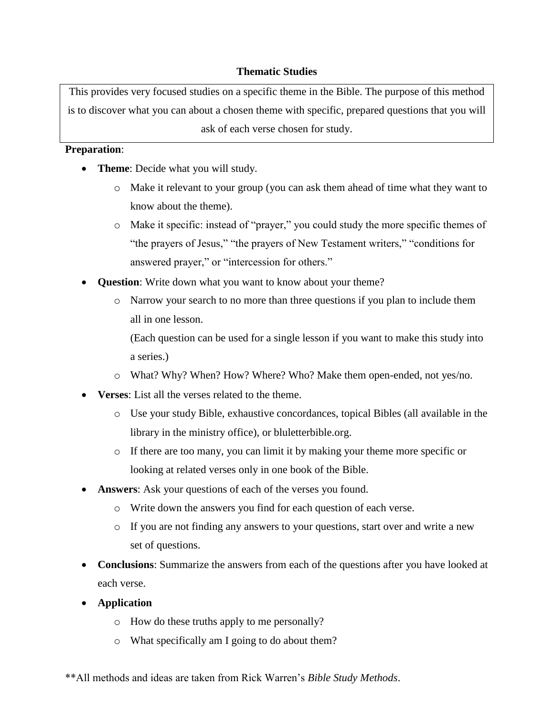# **Thematic Studies**

This provides very focused studies on a specific theme in the Bible. The purpose of this method is to discover what you can about a chosen theme with specific, prepared questions that you will ask of each verse chosen for study.

## **Preparation**:

- **Theme**: Decide what you will study.
	- o Make it relevant to your group (you can ask them ahead of time what they want to know about the theme).
	- o Make it specific: instead of "prayer," you could study the more specific themes of "the prayers of Jesus," "the prayers of New Testament writers," "conditions for answered prayer," or "intercession for others."
- **Question**: Write down what you want to know about your theme?
	- o Narrow your search to no more than three questions if you plan to include them all in one lesson.

(Each question can be used for a single lesson if you want to make this study into a series.)

- o What? Why? When? How? Where? Who? Make them open-ended, not yes/no.
- **Verses**: List all the verses related to the theme.
	- o Use your study Bible, exhaustive concordances, topical Bibles (all available in the library in the ministry office), or bluletterbible.org.
	- o If there are too many, you can limit it by making your theme more specific or looking at related verses only in one book of the Bible.
- **Answers**: Ask your questions of each of the verses you found.
	- o Write down the answers you find for each question of each verse.
	- o If you are not finding any answers to your questions, start over and write a new set of questions.
- **Conclusions**: Summarize the answers from each of the questions after you have looked at each verse.
- **Application**
	- o How do these truths apply to me personally?
	- o What specifically am I going to do about them?

\*\*All methods and ideas are taken from Rick Warren's *Bible Study Methods*.